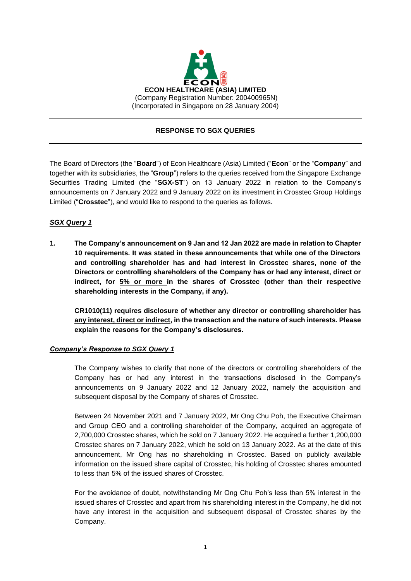

## **RESPONSE TO SGX QUERIES**

The Board of Directors (the "**Board**") of Econ Healthcare (Asia) Limited ("**Econ**" or the "**Company**" and together with its subsidiaries, the "**Group**") refers to the queries received from the Singapore Exchange Securities Trading Limited (the "**SGX-ST**") on 13 January 2022 in relation to the Company's announcements on 7 January 2022 and 9 January 2022 on its investment in Crosstec Group Holdings Limited ("**Crosstec**"), and would like to respond to the queries as follows.

## *SGX Query 1*

**1. The Company's announcement on 9 Jan and 12 Jan 2022 are made in relation to Chapter 10 requirements. It was stated in these announcements that while one of the Directors and controlling shareholder has and had interest in Crosstec shares, none of the Directors or controlling shareholders of the Company has or had any interest, direct or indirect, for 5% or more in the shares of Crosstec (other than their respective shareholding interests in the Company, if any).**

**CR1010(11) requires disclosure of whether any director or controlling shareholder has any interest, direct or indirect, in the transaction and the nature of such interests. Please explain the reasons for the Company's disclosures.** 

### *Company's Response to SGX Query 1*

The Company wishes to clarify that none of the directors or controlling shareholders of the Company has or had any interest in the transactions disclosed in the Company's announcements on 9 January 2022 and 12 January 2022, namely the acquisition and subsequent disposal by the Company of shares of Crosstec.

Between 24 November 2021 and 7 January 2022, Mr Ong Chu Poh, the Executive Chairman and Group CEO and a controlling shareholder of the Company, acquired an aggregate of 2,700,000 Crosstec shares, which he sold on 7 January 2022. He acquired a further 1,200,000 Crosstec shares on 7 January 2022, which he sold on 13 January 2022. As at the date of this announcement, Mr Ong has no shareholding in Crosstec. Based on publicly available information on the issued share capital of Crosstec, his holding of Crosstec shares amounted to less than 5% of the issued shares of Crosstec.

For the avoidance of doubt, notwithstanding Mr Ong Chu Poh's less than 5% interest in the issued shares of Crosstec and apart from his shareholding interest in the Company, he did not have any interest in the acquisition and subsequent disposal of Crosstec shares by the Company.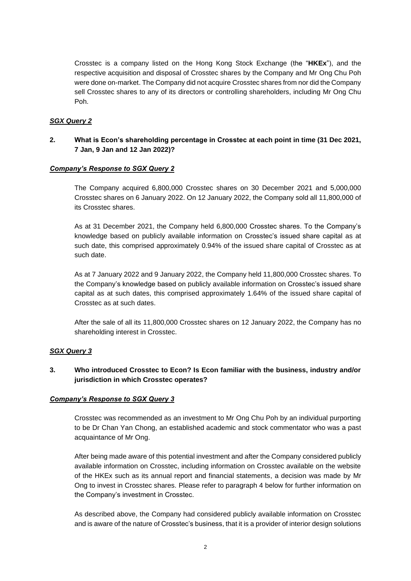Crosstec is a company listed on the Hong Kong Stock Exchange (the "**HKEx**"), and the respective acquisition and disposal of Crosstec shares by the Company and Mr Ong Chu Poh were done on-market. The Company did not acquire Crosstec shares from nor did the Company sell Crosstec shares to any of its directors or controlling shareholders, including Mr Ong Chu Poh.

### *SGX Query 2*

# **2. What is Econ's shareholding percentage in Crosstec at each point in time (31 Dec 2021, 7 Jan, 9 Jan and 12 Jan 2022)?**

#### *Company's Response to SGX Query 2*

The Company acquired 6,800,000 Crosstec shares on 30 December 2021 and 5,000,000 Crosstec shares on 6 January 2022. On 12 January 2022, the Company sold all 11,800,000 of its Crosstec shares.

As at 31 December 2021, the Company held 6,800,000 Crosstec shares. To the Company's knowledge based on publicly available information on Crosstec's issued share capital as at such date, this comprised approximately 0.94% of the issued share capital of Crosstec as at such date.

As at 7 January 2022 and 9 January 2022, the Company held 11,800,000 Crosstec shares. To the Company's knowledge based on publicly available information on Crosstec's issued share capital as at such dates, this comprised approximately 1.64% of the issued share capital of Crosstec as at such dates.

After the sale of all its 11,800,000 Crosstec shares on 12 January 2022, the Company has no shareholding interest in Crosstec.

### *SGX Query 3*

# **3. Who introduced Crosstec to Econ? Is Econ familiar with the business, industry and/or jurisdiction in which Crosstec operates?**

#### *Company's Response to SGX Query 3*

Crosstec was recommended as an investment to Mr Ong Chu Poh by an individual purporting to be Dr Chan Yan Chong, an established academic and stock commentator who was a past acquaintance of Mr Ong.

After being made aware of this potential investment and after the Company considered publicly available information on Crosstec, including information on Crosstec available on the website of the HKEx such as its annual report and financial statements, a decision was made by Mr Ong to invest in Crosstec shares. Please refer to paragraph 4 below for further information on the Company's investment in Crosstec.

As described above, the Company had considered publicly available information on Crosstec and is aware of the nature of Crosstec's business, that it is a provider of interior design solutions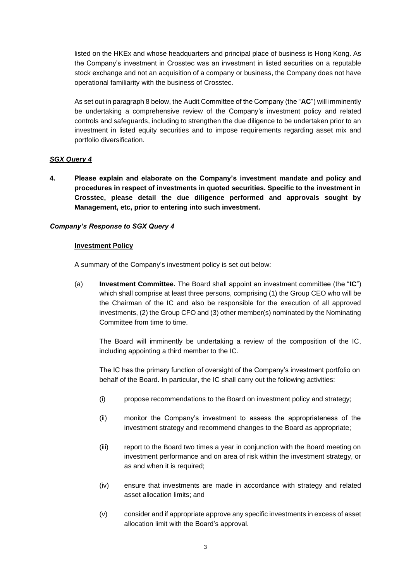listed on the HKEx and whose headquarters and principal place of business is Hong Kong. As the Company's investment in Crosstec was an investment in listed securities on a reputable stock exchange and not an acquisition of a company or business, the Company does not have operational familiarity with the business of Crosstec.

As set out in paragraph 8 below, the Audit Committee of the Company (the "**AC**") will imminently be undertaking a comprehensive review of the Company's investment policy and related controls and safeguards, including to strengthen the due diligence to be undertaken prior to an investment in listed equity securities and to impose requirements regarding asset mix and portfolio diversification.

## *SGX Query 4*

**4. Please explain and elaborate on the Company's investment mandate and policy and procedures in respect of investments in quoted securities. Specific to the investment in Crosstec, please detail the due diligence performed and approvals sought by Management, etc, prior to entering into such investment.** 

## *Company's Response to SGX Query 4*

### **Investment Policy**

A summary of the Company's investment policy is set out below:

(a) **Investment Committee.** The Board shall appoint an investment committee (the "**IC**") which shall comprise at least three persons, comprising (1) the Group CEO who will be the Chairman of the IC and also be responsible for the execution of all approved investments, (2) the Group CFO and (3) other member(s) nominated by the Nominating Committee from time to time.

The Board will imminently be undertaking a review of the composition of the IC, including appointing a third member to the IC.

The IC has the primary function of oversight of the Company's investment portfolio on behalf of the Board. In particular, the IC shall carry out the following activities:

- (i) propose recommendations to the Board on investment policy and strategy;
- (ii) monitor the Company's investment to assess the appropriateness of the investment strategy and recommend changes to the Board as appropriate;
- (iii) report to the Board two times a year in conjunction with the Board meeting on investment performance and on area of risk within the investment strategy, or as and when it is required;
- (iv) ensure that investments are made in accordance with strategy and related asset allocation limits; and
- (v) consider and if appropriate approve any specific investments in excess of asset allocation limit with the Board's approval.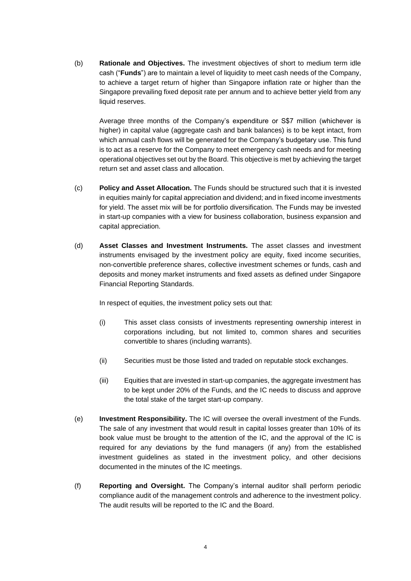(b) **Rationale and Objectives.** The investment objectives of short to medium term idle cash ("**Funds**") are to maintain a level of liquidity to meet cash needs of the Company, to achieve a target return of higher than Singapore inflation rate or higher than the Singapore prevailing fixed deposit rate per annum and to achieve better yield from any liquid reserves.

Average three months of the Company's expenditure or S\$7 million (whichever is higher) in capital value (aggregate cash and bank balances) is to be kept intact, from which annual cash flows will be generated for the Company's budgetary use. This fund is to act as a reserve for the Company to meet emergency cash needs and for meeting operational objectives set out by the Board. This objective is met by achieving the target return set and asset class and allocation.

- (c) **Policy and Asset Allocation.** The Funds should be structured such that it is invested in equities mainly for capital appreciation and dividend; and in fixed income investments for yield. The asset mix will be for portfolio diversification. The Funds may be invested in start-up companies with a view for business collaboration, business expansion and capital appreciation.
- (d) **Asset Classes and Investment Instruments.** The asset classes and investment instruments envisaged by the investment policy are equity, fixed income securities, non-convertible preference shares, collective investment schemes or funds, cash and deposits and money market instruments and fixed assets as defined under Singapore Financial Reporting Standards.

In respect of equities, the investment policy sets out that:

- (i) This asset class consists of investments representing ownership interest in corporations including, but not limited to, common shares and securities convertible to shares (including warrants).
- (ii) Securities must be those listed and traded on reputable stock exchanges.
- (iii) Equities that are invested in start-up companies, the aggregate investment has to be kept under 20% of the Funds, and the IC needs to discuss and approve the total stake of the target start-up company.
- (e) **Investment Responsibility.** The IC will oversee the overall investment of the Funds. The sale of any investment that would result in capital losses greater than 10% of its book value must be brought to the attention of the IC, and the approval of the IC is required for any deviations by the fund managers (if any) from the established investment guidelines as stated in the investment policy, and other decisions documented in the minutes of the IC meetings.
- (f) **Reporting and Oversight.** The Company's internal auditor shall perform periodic compliance audit of the management controls and adherence to the investment policy. The audit results will be reported to the IC and the Board.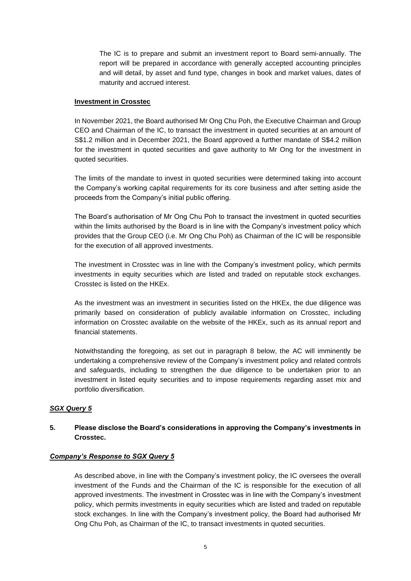The IC is to prepare and submit an investment report to Board semi-annually. The report will be prepared in accordance with generally accepted accounting principles and will detail, by asset and fund type, changes in book and market values, dates of maturity and accrued interest.

#### **Investment in Crosstec**

In November 2021, the Board authorised Mr Ong Chu Poh, the Executive Chairman and Group CEO and Chairman of the IC, to transact the investment in quoted securities at an amount of S\$1.2 million and in December 2021, the Board approved a further mandate of S\$4.2 million for the investment in quoted securities and gave authority to Mr Ong for the investment in quoted securities.

The limits of the mandate to invest in quoted securities were determined taking into account the Company's working capital requirements for its core business and after setting aside the proceeds from the Company's initial public offering.

The Board's authorisation of Mr Ong Chu Poh to transact the investment in quoted securities within the limits authorised by the Board is in line with the Company's investment policy which provides that the Group CEO (i.e. Mr Ong Chu Poh) as Chairman of the IC will be responsible for the execution of all approved investments.

The investment in Crosstec was in line with the Company's investment policy, which permits investments in equity securities which are listed and traded on reputable stock exchanges. Crosstec is listed on the HKEx.

As the investment was an investment in securities listed on the HKEx, the due diligence was primarily based on consideration of publicly available information on Crosstec, including information on Crosstec available on the website of the HKEx, such as its annual report and financial statements.

Notwithstanding the foregoing, as set out in paragraph 8 below, the AC will imminently be undertaking a comprehensive review of the Company's investment policy and related controls and safeguards, including to strengthen the due diligence to be undertaken prior to an investment in listed equity securities and to impose requirements regarding asset mix and portfolio diversification.

#### *SGX Query 5*

# **5. Please disclose the Board's considerations in approving the Company's investments in Crosstec.**

### *Company's Response to SGX Query 5*

As described above, in line with the Company's investment policy, the IC oversees the overall investment of the Funds and the Chairman of the IC is responsible for the execution of all approved investments. The investment in Crosstec was in line with the Company's investment policy, which permits investments in equity securities which are listed and traded on reputable stock exchanges. In line with the Company's investment policy, the Board had authorised Mr Ong Chu Poh, as Chairman of the IC, to transact investments in quoted securities.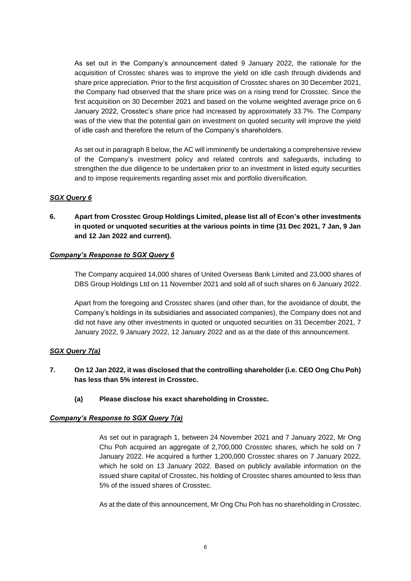As set out in the Company's announcement dated 9 January 2022, the rationale for the acquisition of Crosstec shares was to improve the yield on idle cash through dividends and share price appreciation. Prior to the first acquisition of Crosstec shares on 30 December 2021, the Company had observed that the share price was on a rising trend for Crosstec. Since the first acquisition on 30 December 2021 and based on the volume weighted average price on 6 January 2022, Crosstec's share price had increased by approximately 33.7%. The Company was of the view that the potential gain on investment on quoted security will improve the yield of idle cash and therefore the return of the Company's shareholders.

As set out in paragraph 8 below, the AC will imminently be undertaking a comprehensive review of the Company's investment policy and related controls and safeguards, including to strengthen the due diligence to be undertaken prior to an investment in listed equity securities and to impose requirements regarding asset mix and portfolio diversification.

## *SGX Query 6*

**6. Apart from Crosstec Group Holdings Limited, please list all of Econ's other investments in quoted or unquoted securities at the various points in time (31 Dec 2021, 7 Jan, 9 Jan and 12 Jan 2022 and current).** 

#### *Company's Response to SGX Query 6*

The Company acquired 14,000 shares of United Overseas Bank Limited and 23,000 shares of DBS Group Holdings Ltd on 11 November 2021 and sold all of such shares on 6 January 2022.

Apart from the foregoing and Crosstec shares (and other than, for the avoidance of doubt, the Company's holdings in its subsidiaries and associated companies), the Company does not and did not have any other investments in quoted or unquoted securities on 31 December 2021, 7 January 2022, 9 January 2022, 12 January 2022 and as at the date of this announcement.

### *SGX Query 7(a)*

- **7. On 12 Jan 2022, it was disclosed that the controlling shareholder (i.e. CEO Ong Chu Poh) has less than 5% interest in Crosstec.**
	- **(a) Please disclose his exact shareholding in Crosstec.**

### *Company's Response to SGX Query 7(a)*

As set out in paragraph 1, between 24 November 2021 and 7 January 2022, Mr Ong Chu Poh acquired an aggregate of 2,700,000 Crosstec shares, which he sold on 7 January 2022. He acquired a further 1,200,000 Crosstec shares on 7 January 2022, which he sold on 13 January 2022. Based on publicly available information on the issued share capital of Crosstec, his holding of Crosstec shares amounted to less than 5% of the issued shares of Crosstec.

As at the date of this announcement, Mr Ong Chu Poh has no shareholding in Crosstec.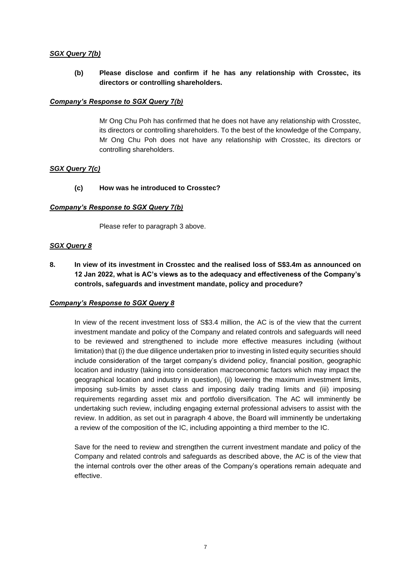### *SGX Query 7(b)*

## **(b) Please disclose and confirm if he has any relationship with Crosstec, its directors or controlling shareholders.**

### *Company's Response to SGX Query 7(b)*

Mr Ong Chu Poh has confirmed that he does not have any relationship with Crosstec, its directors or controlling shareholders. To the best of the knowledge of the Company, Mr Ong Chu Poh does not have any relationship with Crosstec, its directors or controlling shareholders.

### *SGX Query 7(c)*

### **(c) How was he introduced to Crosstec?**

#### *Company's Response to SGX Query 7(b)*

Please refer to paragraph 3 above.

#### *SGX Query 8*

**8. In view of its investment in Crosstec and the realised loss of S\$3.4m as announced on 12 Jan 2022, what is AC's views as to the adequacy and effectiveness of the Company's controls, safeguards and investment mandate, policy and procedure?** 

#### *Company's Response to SGX Query 8*

In view of the recent investment loss of S\$3.4 million, the AC is of the view that the current investment mandate and policy of the Company and related controls and safeguards will need to be reviewed and strengthened to include more effective measures including (without limitation) that (i) the due diligence undertaken prior to investing in listed equity securities should include consideration of the target company's dividend policy, financial position, geographic location and industry (taking into consideration macroeconomic factors which may impact the geographical location and industry in question), (ii) lowering the maximum investment limits, imposing sub-limits by asset class and imposing daily trading limits and (iii) imposing requirements regarding asset mix and portfolio diversification. The AC will imminently be undertaking such review, including engaging external professional advisers to assist with the review. In addition, as set out in paragraph 4 above, the Board will imminently be undertaking a review of the composition of the IC, including appointing a third member to the IC.

Save for the need to review and strengthen the current investment mandate and policy of the Company and related controls and safeguards as described above, the AC is of the view that the internal controls over the other areas of the Company's operations remain adequate and effective.